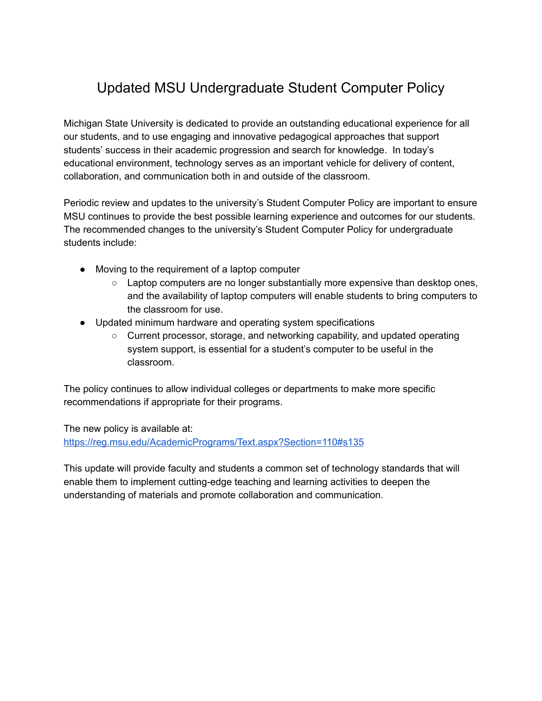## Updated MSU Undergraduate Student Computer Policy

Michigan State University is dedicated to provide an outstanding educational experience for all our students, and to use engaging and innovative pedagogical approaches that support students' success in their academic progression and search for knowledge. In today's educational environment, technology serves as an important vehicle for delivery of content, collaboration, and communication both in and outside of the classroom.

Periodic review and updates to the university's Student Computer Policy are important to ensure MSU continues to provide the best possible learning experience and outcomes for our students. The recommended changes to the university's Student Computer Policy for undergraduate students include:

- Moving to the requirement of a laptop computer
	- $\circ$  Laptop computers are no longer substantially more expensive than desktop ones, and the availability of laptop computers will enable students to bring computers to the classroom for use.
- Updated minimum hardware and operating system specifications
	- Current processor, storage, and networking capability, and updated operating system support, is essential for a student's computer to be useful in the classroom.

The policy continues to allow individual colleges or departments to make more specific recommendations if appropriate for their programs.

The new policy is available at:

<https://reg.msu.edu/AcademicPrograms/Text.aspx?Section=110#s135>

This update will provide faculty and students a common set of technology standards that will enable them to implement cutting-edge teaching and learning activities to deepen the understanding of materials and promote collaboration and communication.